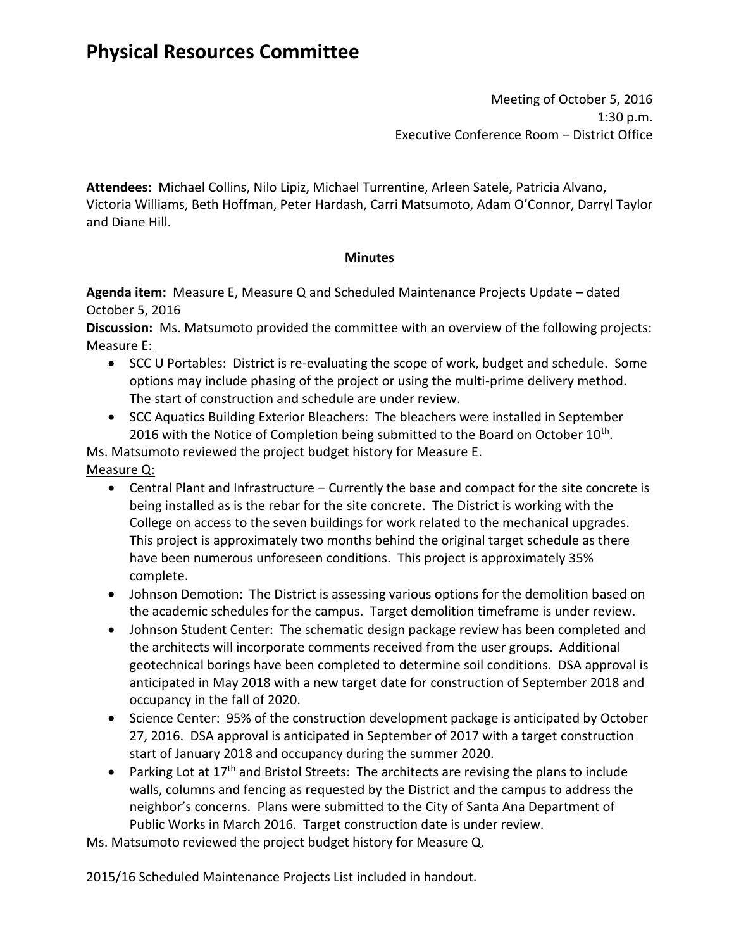Meeting of October 5, 2016 1:30 p.m. Executive Conference Room – District Office

**Attendees:** Michael Collins, Nilo Lipiz, Michael Turrentine, Arleen Satele, Patricia Alvano, Victoria Williams, Beth Hoffman, Peter Hardash, Carri Matsumoto, Adam O'Connor, Darryl Taylor and Diane Hill.

# **Minutes**

**Agenda item:** Measure E, Measure Q and Scheduled Maintenance Projects Update – dated October 5, 2016

**Discussion:** Ms. Matsumoto provided the committee with an overview of the following projects: Measure E:

- SCC U Portables: District is re-evaluating the scope of work, budget and schedule. Some options may include phasing of the project or using the multi-prime delivery method. The start of construction and schedule are under review.
- SCC Aquatics Building Exterior Bleachers: The bleachers were installed in September 2016 with the Notice of Completion being submitted to the Board on October 10<sup>th</sup>.

Ms. Matsumoto reviewed the project budget history for Measure E.

- Measure Q:
	- Central Plant and Infrastructure Currently the base and compact for the site concrete is being installed as is the rebar for the site concrete. The District is working with the College on access to the seven buildings for work related to the mechanical upgrades. This project is approximately two months behind the original target schedule as there have been numerous unforeseen conditions. This project is approximately 35% complete.
	- Johnson Demotion: The District is assessing various options for the demolition based on the academic schedules for the campus. Target demolition timeframe is under review.
	- Johnson Student Center: The schematic design package review has been completed and the architects will incorporate comments received from the user groups. Additional geotechnical borings have been completed to determine soil conditions. DSA approval is anticipated in May 2018 with a new target date for construction of September 2018 and occupancy in the fall of 2020.
	- Science Center: 95% of the construction development package is anticipated by October 27, 2016. DSA approval is anticipated in September of 2017 with a target construction start of January 2018 and occupancy during the summer 2020.
	- Parking Lot at  $17<sup>th</sup>$  and Bristol Streets: The architects are revising the plans to include walls, columns and fencing as requested by the District and the campus to address the neighbor's concerns. Plans were submitted to the City of Santa Ana Department of Public Works in March 2016. Target construction date is under review.

Ms. Matsumoto reviewed the project budget history for Measure Q.

2015/16 Scheduled Maintenance Projects List included in handout.